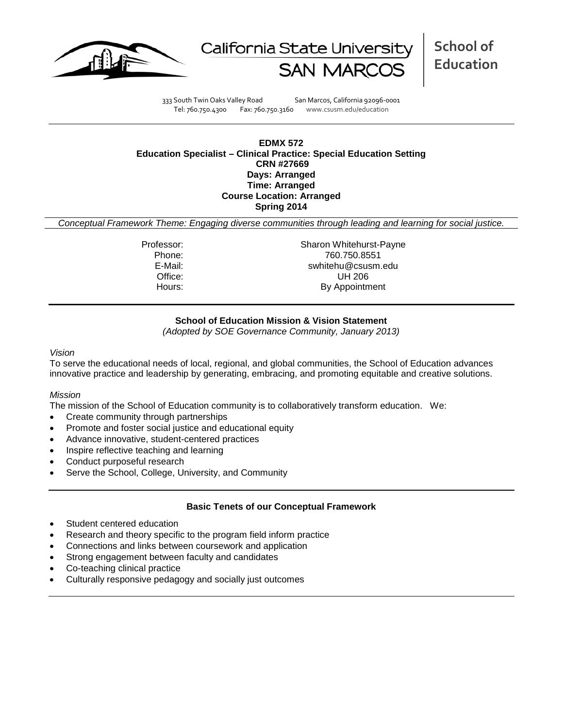



**School of Education**

333 South Twin Oaks Valley Road San Marcos, California 92096-0001 Tel: 760.750.4300 Fax: 760.750.3160 www.csusm.edu/education

### **EDMX 572 Education Specialist – Clinical Practice: Special Education Setting CRN #27669 Days: Arranged Time: Arranged Course Location: Arranged Spring 2014**

*Conceptual Framework Theme: Engaging diverse communities through leading and learning for social justice.*

Professor: Sharon Whitehurst-Payne Phone: 760.750.8551<br>E-Mail: 760.750.8551<br>Swhitehu@csusm swhitehu@csusm.edu Office: UH 206 Hours: By Appointment

### **School of Education Mission & Vision Statement**

*(Adopted by SOE Governance Community, January 2013)*

#### *Vision*

To serve the educational needs of local, regional, and global communities, the School of Education advances innovative practice and leadership by generating, embracing, and promoting equitable and creative solutions.

### *Mission*

The mission of the School of Education community is to collaboratively transform education. We:

- Create community through partnerships
- Promote and foster social justice and educational equity
- Advance innovative, student-centered practices
- Inspire reflective teaching and learning
- Conduct purposeful research
- Serve the School, College, University, and Community

### **Basic Tenets of our Conceptual Framework**

- Student centered education
- Research and theory specific to the program field inform practice
- Connections and links between coursework and application
- Strong engagement between faculty and candidates
- Co-teaching clinical practice
- Culturally responsive pedagogy and socially just outcomes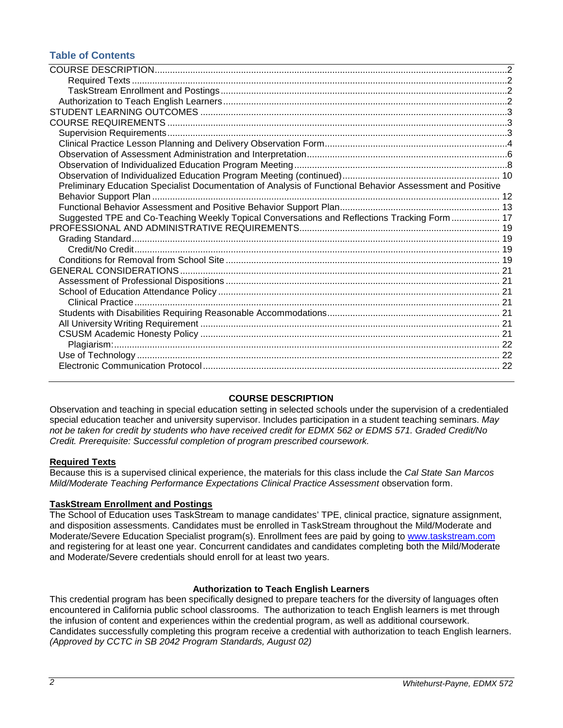## **Table of Contents**

| Preliminary Education Specialist Documentation of Analysis of Functional Behavior Assessment and Positive |  |
|-----------------------------------------------------------------------------------------------------------|--|
|                                                                                                           |  |
|                                                                                                           |  |
| Suggested TPE and Co-Teaching Weekly Topical Conversations and Reflections Tracking Form  17              |  |
|                                                                                                           |  |
|                                                                                                           |  |
|                                                                                                           |  |
|                                                                                                           |  |
|                                                                                                           |  |
|                                                                                                           |  |
|                                                                                                           |  |
|                                                                                                           |  |
|                                                                                                           |  |
|                                                                                                           |  |
|                                                                                                           |  |
|                                                                                                           |  |
|                                                                                                           |  |
|                                                                                                           |  |
|                                                                                                           |  |

### **COURSE DESCRIPTION**

<span id="page-1-0"></span>Observation and teaching in special education setting in selected schools under the supervision of a credentialed special education teacher and university supervisor. Includes participation in a student teaching seminars. *May not be taken for credit by students who have received credit for EDMX 562 or EDMS 571. Graded Credit/No Credit. Prerequisite: Successful completion of program prescribed coursework.*

### <span id="page-1-1"></span>**Required Texts**

Because this is a supervised clinical experience, the materials for this class include the *Cal State San Marcos Mild/Moderate Teaching Performance Expectations Clinical Practice Assessment* observation form.

### <span id="page-1-2"></span>**TaskStream Enrollment and Postings**

The School of Education uses TaskStream to manage candidates' TPE, clinical practice, signature assignment, and disposition assessments. Candidates must be enrolled in TaskStream throughout the Mild/Moderate and Moderate/Severe Education Specialist program(s). Enrollment fees are paid by going to [www.taskstream.com](http://www.taskstrem.com/) and registering for at least one year. Concurrent candidates and candidates completing both the Mild/Moderate and Moderate/Severe credentials should enroll for at least two years.

### **Authorization to Teach English Learners**

<span id="page-1-4"></span><span id="page-1-3"></span>This credential program has been specifically designed to prepare teachers for the diversity of languages often encountered in California public school classrooms. The authorization to teach English learners is met through the infusion of content and experiences within the credential program, as well as additional coursework. Candidates successfully completing this program receive a credential with authorization to teach English learners. *(Approved by CCTC in SB 2042 Program Standards, August 02)*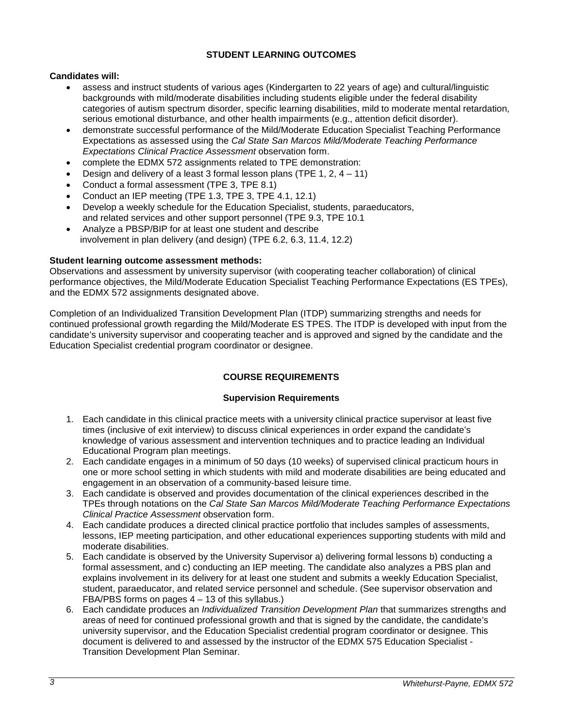### **STUDENT LEARNING OUTCOMES**

### **Candidates will:**

- assess and instruct students of various ages (Kindergarten to 22 years of age) and cultural/linguistic backgrounds with mild/moderate disabilities including students eligible under the federal disability categories of autism spectrum disorder, specific learning disabilities, mild to moderate mental retardation, serious emotional disturbance, and other health impairments (e.g., attention deficit disorder).
- demonstrate successful performance of the Mild/Moderate Education Specialist Teaching Performance Expectations as assessed using the *Cal State San Marcos Mild/Moderate Teaching Performance Expectations Clinical Practice Assessment* observation form.
- complete the EDMX 572 assignments related to TPE demonstration:
- Design and delivery of a least 3 formal lesson plans (TPE 1, 2,  $4 11$ )
- Conduct a formal assessment (TPE 3, TPE 8.1)
- Conduct an IEP meeting (TPE 1.3, TPE 3, TPE 4.1, 12.1)
- Develop a weekly schedule for the Education Specialist, students, paraeducators, and related services and other support personnel (TPE 9.3, TPE 10.1
- Analyze a PBSP/BIP for at least one student and describe involvement in plan delivery (and design) (TPE 6.2, 6.3, 11.4, 12.2)

### **Student learning outcome assessment methods:**

Observations and assessment by university supervisor (with cooperating teacher collaboration) of clinical performance objectives, the Mild/Moderate Education Specialist Teaching Performance Expectations (ES TPEs), and the EDMX 572 assignments designated above.

Completion of an Individualized Transition Development Plan (ITDP) summarizing strengths and needs for continued professional growth regarding the Mild/Moderate ES TPES. The ITDP is developed with input from the candidate's university supervisor and cooperating teacher and is approved and signed by the candidate and the Education Specialist credential program coordinator or designee.

## **COURSE REQUIREMENTS**

### **Supervision Requirements**

- <span id="page-2-1"></span><span id="page-2-0"></span>1. Each candidate in this clinical practice meets with a university clinical practice supervisor at least five times (inclusive of exit interview) to discuss clinical experiences in order expand the candidate's knowledge of various assessment and intervention techniques and to practice leading an Individual Educational Program plan meetings.
- 2. Each candidate engages in a minimum of 50 days (10 weeks) of supervised clinical practicum hours in one or more school setting in which students with mild and moderate disabilities are being educated and engagement in an observation of a community-based leisure time.
- 3. Each candidate is observed and provides documentation of the clinical experiences described in the TPEs through notations on the *Cal State San Marcos Mild/Moderate Teaching Performance Expectations Clinical Practice Assessment* observation form.
- 4. Each candidate produces a directed clinical practice portfolio that includes samples of assessments, lessons, IEP meeting participation, and other educational experiences supporting students with mild and moderate disabilities.
- 5. Each candidate is observed by the University Supervisor a) delivering formal lessons b) conducting a formal assessment, and c) conducting an IEP meeting. The candidate also analyzes a PBS plan and explains involvement in its delivery for at least one student and submits a weekly Education Specialist, student, paraeducator, and related service personnel and schedule. (See supervisor observation and FBA/PBS forms on pages 4 – 13 of this syllabus.)
- 6. Each candidate produces an *Individualized Transition Development Plan* that summarizes strengths and areas of need for continued professional growth and that is signed by the candidate, the candidate's university supervisor, and the Education Specialist credential program coordinator or designee. This document is delivered to and assessed by the instructor of the EDMX 575 Education Specialist - Transition Development Plan Seminar.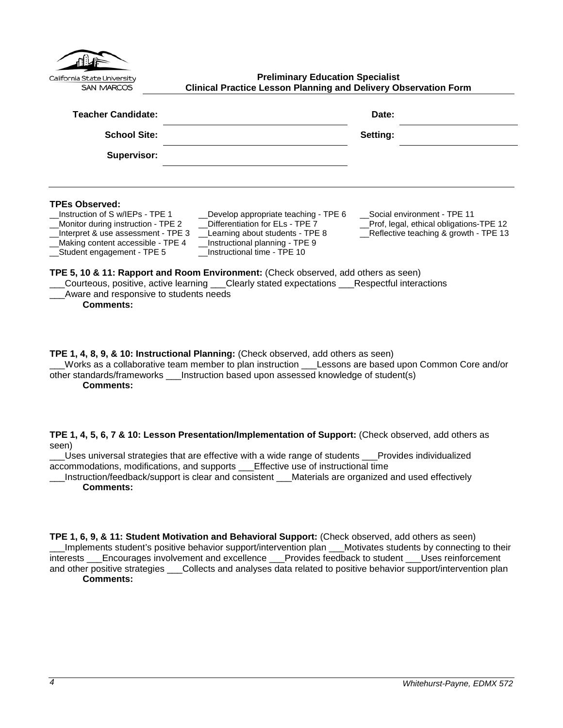<span id="page-3-0"></span>

| California State University<br><b>SAN MARCOS</b>                                                                                                                                                                                                               | <b>Preliminary Education Specialist</b><br><b>Clinical Practice Lesson Planning and Delivery Observation Form</b>                                                                                                                                                                                                                                                    |                                                                                                                 |
|----------------------------------------------------------------------------------------------------------------------------------------------------------------------------------------------------------------------------------------------------------------|----------------------------------------------------------------------------------------------------------------------------------------------------------------------------------------------------------------------------------------------------------------------------------------------------------------------------------------------------------------------|-----------------------------------------------------------------------------------------------------------------|
| Teacher Candidate:                                                                                                                                                                                                                                             |                                                                                                                                                                                                                                                                                                                                                                      | Date:                                                                                                           |
| <b>School Site:</b>                                                                                                                                                                                                                                            |                                                                                                                                                                                                                                                                                                                                                                      | Setting:                                                                                                        |
| Supervisor:                                                                                                                                                                                                                                                    |                                                                                                                                                                                                                                                                                                                                                                      |                                                                                                                 |
| <b>TPEs Observed:</b><br>Instruction of S w/IEPs - TPE 1<br>Monitor during instruction - TPE 2<br>Interpret & use assessment - TPE 3<br>Making content accessible - TPE 4<br>Student engagement - TPE 5<br>Aware and responsive to students needs<br>Comments: | _Develop appropriate teaching - TPE 6<br>Differentiation for ELs - TPE 7<br>Learning about students - TPE 8<br>Instructional planning - TPE 9<br>Instructional time - TPE 10<br>TPE 5, 10 & 11: Rapport and Room Environment: (Check observed, add others as seen)<br>Courteous, positive, active learning ___Clearly stated expectations ___Respectful interactions | Social environment - TPE 11<br>Prof, legal, ethical obligations-TPE 12<br>Reflective teaching & growth - TPE 13 |

**TPE 1, 4, 8, 9, & 10: Instructional Planning:** (Check observed, add others as seen) \_\_\_Works as a collaborative team member to plan instruction \_\_\_Lessons are based upon Common Core and/or

other standards/frameworks \_\_\_Instruction based upon assessed knowledge of student(s) **Comments:**

**TPE 1, 4, 5, 6, 7 & 10: Lesson Presentation/Implementation of Support:** (Check observed, add others as seen)

\_\_\_Uses universal strategies that are effective with a wide range of students \_\_\_Provides individualized accommodations, modifications, and supports \_\_\_Effective use of instructional time

\_\_\_Instruction/feedback/support is clear and consistent \_\_\_Materials are organized and used effectively **Comments:**

**TPE 1, 6, 9, & 11: Student Motivation and Behavioral Support:** (Check observed, add others as seen) \_\_\_Implements student's positive behavior support/intervention plan \_\_\_Motivates students by connecting to their interests \_\_\_Encourages involvement and excellence \_\_\_Provides feedback to student \_\_\_Uses reinforcement and other positive strategies \_\_\_Collects and analyses data related to positive behavior support/intervention plan **Comments:**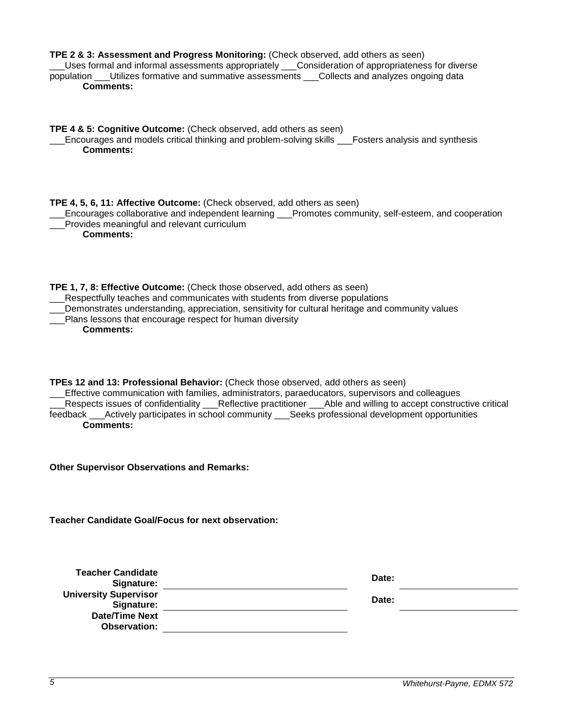| TPE 2 & 3: Assessment and Progress Monitoring: (Check observed, add others as seen)<br>Uses formal and informal assessments appropriately ___Consideration of appropriateness for diverse<br>population ___Utilizes formative and summative assessments ___Collects and analyzes ongoing data<br><b>Comments:</b>                                                                                                                     |       |
|---------------------------------------------------------------------------------------------------------------------------------------------------------------------------------------------------------------------------------------------------------------------------------------------------------------------------------------------------------------------------------------------------------------------------------------|-------|
| TPE 4 & 5: Cognitive Outcome: (Check observed, add others as seen)<br>Encourages and models critical thinking and problem-solving skills ___Fosters analysis and synthesis<br><b>Comments:</b>                                                                                                                                                                                                                                        |       |
| TPE 4, 5, 6, 11: Affective Outcome: (Check observed, add others as seen)<br>Encourages collaborative and independent learning ___Promotes community, self-esteem, and cooperation<br>Provides meaningful and relevant curriculum<br><b>Comments:</b>                                                                                                                                                                                  |       |
| TPE 1, 7, 8: Effective Outcome: (Check those observed, add others as seen)<br>__Respectfully teaches and communicates with students from diverse populations<br>Demonstrates understanding, appreciation, sensitivity for cultural heritage and community values<br>Plans lessons that encourage respect for human diversity<br><b>Comments:</b>                                                                                      |       |
| TPEs 12 and 13: Professional Behavior: (Check those observed, add others as seen)<br>Effective communication with families, administrators, paraeducators, supervisors and colleagues<br>Respects issues of confidentiality __Reflective practitioner __Able and willing to accept constructive critical<br>feedback ___Actively participates in school community ___Seeks professional development opportunities<br><b>Comments:</b> |       |
| <b>Other Supervisor Observations and Remarks:</b>                                                                                                                                                                                                                                                                                                                                                                                     |       |
| <b>Teacher Candidate Goal/Focus for next observation:</b>                                                                                                                                                                                                                                                                                                                                                                             |       |
| <b>Teacher Candidate</b><br>Signature:                                                                                                                                                                                                                                                                                                                                                                                                | Date: |
| <b>University Supervisor</b><br>Signature:                                                                                                                                                                                                                                                                                                                                                                                            | Date: |
| <b>Date/Time Next</b><br><b>Observation:</b>                                                                                                                                                                                                                                                                                                                                                                                          |       |
|                                                                                                                                                                                                                                                                                                                                                                                                                                       |       |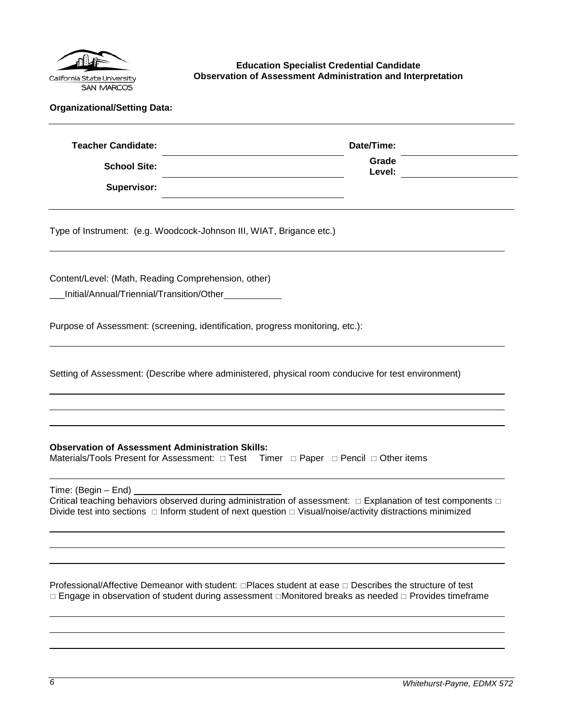

<span id="page-5-0"></span>**Education Specialist Credential Candidate Observation of Assessment Administration and Interpretation**

| <b>Teacher Candidate:</b> | Date/Time:      |  |
|---------------------------|-----------------|--|
| <b>School Site:</b>       | Grade<br>Level: |  |
| Supervisor:               |                 |  |

Type of Instrument: (e.g. Woodcock-Johnson III, WIAT, Brigance etc.)

Content/Level: (Math, Reading Comprehension, other)

\_\_\_Initial/Annual/Triennial/Transition/Other

Purpose of Assessment: (screening, identification, progress monitoring, etc.):

Setting of Assessment: (Describe where administered, physical room conducive for test environment)

### **Observation of Assessment Administration Skills:**

Materials/Tools Present for Assessment:  $\Box$  Test Timer  $\Box$  Paper  $\Box$  Pencil  $\Box$  Other items

Time: (Begin – End)

Critical teaching behaviors observed during administration of assessment:  $\Box$  Explanation of test components  $\Box$ Divide test into sections  $\Box$  Inform student of next question  $\Box$  Visual/noise/activity distractions minimized

Professional/Affective Demeanor with student:  $\Box$ Places student at ease  $\Box$  Describes the structure of test  $\Box$  Engage in observation of student during assessment  $\Box$ Monitored breaks as needed  $\Box$  Provides timeframe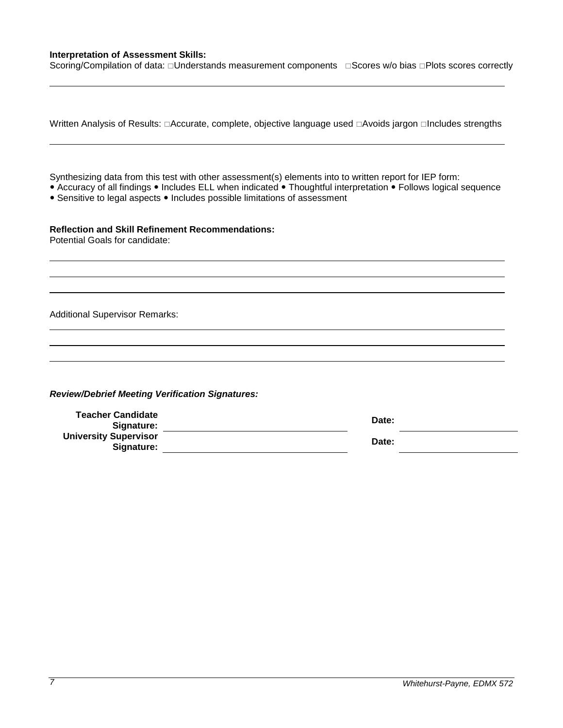### **Interpretation of Assessment Skills:**

Scoring/Compilation of data: Understands measurement components Gores w/o bias DPlots scores correctly

| Written Analysis of Results: □Accurate, complete, objective language used □Avoids jargon □Includes strengths                                                                                                                                                                                             |                |
|----------------------------------------------------------------------------------------------------------------------------------------------------------------------------------------------------------------------------------------------------------------------------------------------------------|----------------|
| Synthesizing data from this test with other assessment(s) elements into to written report for IEP form:<br>• Accuracy of all findings • Includes ELL when indicated • Thoughtful interpretation • Follows logical sequence<br>• Sensitive to legal aspects • Includes possible limitations of assessment |                |
| <b>Reflection and Skill Refinement Recommendations:</b><br>Potential Goals for candidate:                                                                                                                                                                                                                |                |
| <b>Additional Supervisor Remarks:</b>                                                                                                                                                                                                                                                                    |                |
| <b>Review/Debrief Meeting Verification Signatures:</b><br><b>Teacher Candidate</b><br>Signature:<br><b>University Supervisor</b><br>Signature:                                                                                                                                                           | Date:<br>Date: |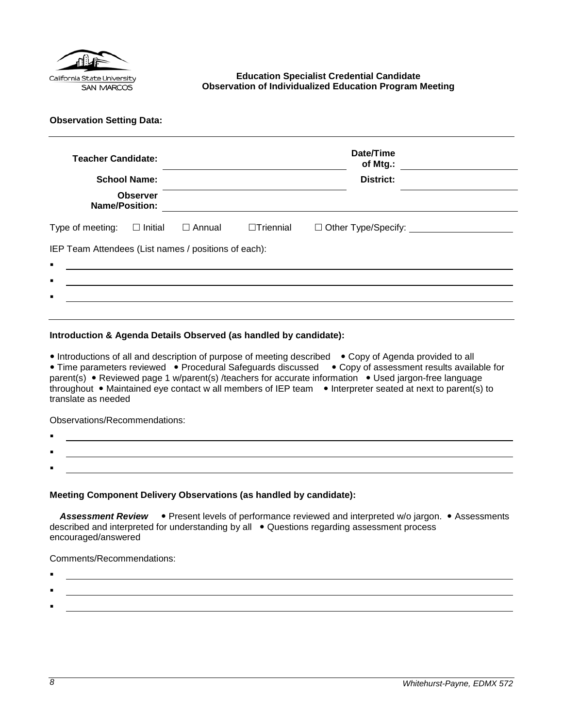

### <span id="page-7-0"></span>**Education Specialist Credential Candidate Observation of Individualized Education Program Meeting**

**Observation Setting Data:** 

| <b>Teacher Candidate:</b><br><b>Name/Position:</b>                     | <b>School Name:</b><br><b>Observer</b> |                                                                                                                      |                  | Date/Time<br>of Mtg.:<br><b>District:</b> |
|------------------------------------------------------------------------|----------------------------------------|----------------------------------------------------------------------------------------------------------------------|------------------|-------------------------------------------|
| Type of meeting:                                                       | $\square$ Initial                      | $\Box$ Annual                                                                                                        | $\Box$ Triennial |                                           |
| IEP Team Attendees (List names / positions of each):<br>$\blacksquare$ |                                        | <u> 1980 - Jan Samuel Barbara, martin din shekara ta 1980 - An tsara tsara tsara tsara tsara tsara tsara tsara t</u> |                  |                                           |
| п                                                                      |                                        |                                                                                                                      |                  |                                           |
| п                                                                      |                                        |                                                                                                                      |                  |                                           |
|                                                                        |                                        |                                                                                                                      |                  |                                           |

### **Introduction & Agenda Details Observed (as handled by candidate):**

• Introductions of all and description of purpose of meeting described • Copy of Agenda provided to all • Time parameters reviewed • Procedural Safeguards discussed • Copy of assessment results available for parent(s) • Reviewed page 1 w/parent(s) /teachers for accurate information • Used jargon-free language throughout • Maintained eye contact w all members of IEP team • Interpreter seated at next to parent(s) to translate as needed

Observations/Recommendations:

- . .
- **Meeting Component Delivery Observations (as handled by candidate):**

Assessment Review . Present levels of performance reviewed and interpreted w/o jargon. • Assessments described and interpreted for understanding by all • Questions regarding assessment process encouraged/answered

Comments/Recommendations:

- :
- .

.

: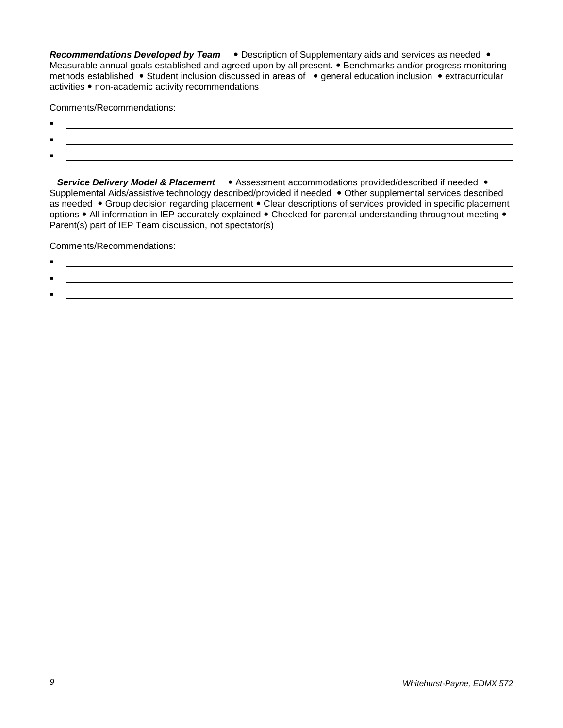**Recommendations Developed by Team •** Description of Supplementary aids and services as needed • Measurable annual goals established and agreed upon by all present. • Benchmarks and/or progress monitoring methods established • Student inclusion discussed in areas of • general education inclusion • extracurricular activities • non-academic activity recommendations

Comments/Recommendations:

- $\blacksquare$
- $\blacksquare$
- :

**Service Delivery Model & Placement •** Assessment accommodations provided/described if needed • Supplemental Aids/assistive technology described/provided if needed • Other supplemental services described as needed • Group decision regarding placement • Clear descriptions of services provided in specific placement options • All information in IEP accurately explained • Checked for parental understanding throughout meeting • Parent(s) part of IEP Team discussion, not spectator(s)

Comments/Recommendations:

.

:

# .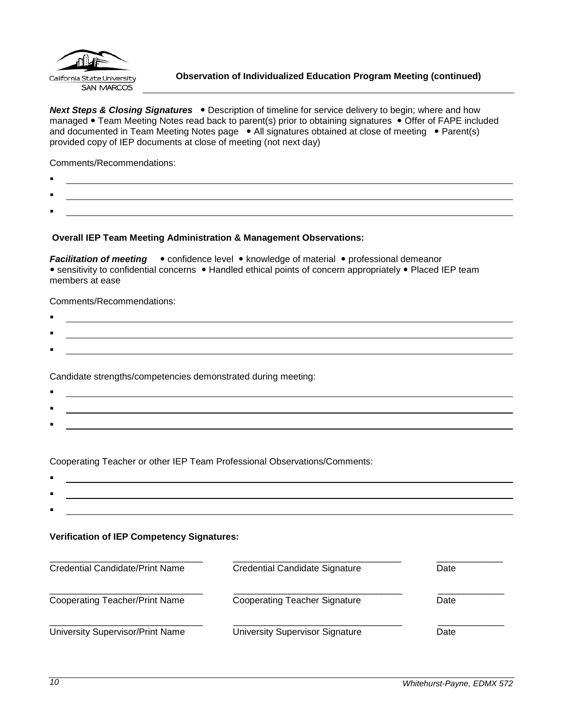

<span id="page-9-0"></span>**Next Steps & Closing Signatures** . Description of timeline for service delivery to begin; where and how managed • Team Meeting Notes read back to parent(s) prior to obtaining signatures • Offer of FAPE included and documented in Team Meeting Notes page . All signatures obtained at close of meeting . Parent(s) provided copy of IEP documents at close of meeting (not next day)

Comments/Recommendations:

- $\blacksquare$
- .
- :

### **Overall IEP Team Meeting Administration & Management Observations:**

*Facilitation of meeting* • confidence level • knowledge of material • professional demeanor • sensitivity to confidential concerns • Handled ethical points of concern appropriately • Placed IEP team members at ease

Comments/Recommendations:

 $\blacksquare$ : .

Candidate strengths/competencies demonstrated during meeting:

 $\blacksquare$ : <u> 1989 - Johann Stoff, amerikansk politiker (d. 1989)</u> :

Cooperating Teacher or other IEP Team Professional Observations/Comments:

. :

### **Verification of IEP Competency Signatures:**

| Credential Candidate/Print Name       | Credential Candidate Signature         | Date |
|---------------------------------------|----------------------------------------|------|
| <b>Cooperating Teacher/Print Name</b> | <b>Cooperating Teacher Signature</b>   | Date |
| University Supervisor/Print Name      | <b>University Supervisor Signature</b> | Date |

: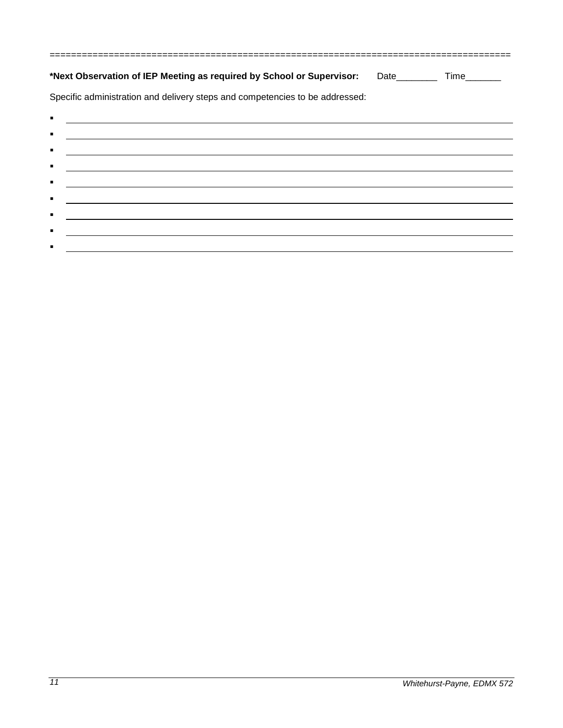| *Next Observation of IEP Meeting as required by School or Supervisor: Date_________ Time_______                                        |  |
|----------------------------------------------------------------------------------------------------------------------------------------|--|
| Specific administration and delivery steps and competencies to be addressed:                                                           |  |
| ٠                                                                                                                                      |  |
| $\blacksquare$<br><u> 1989 - Andrea Santa Alemania, amerikana amerikana amerikana amerikana amerikana amerikana amerikana amerikan</u> |  |
| $\blacksquare$<br>and the control of the control of the control of the control of the control of the control of the control of the     |  |
| $\blacksquare$                                                                                                                         |  |
| ٠<br><u> Alexandria de la contrada de la contrada de la contrada de la contrada de la contrada de la contrada de la c</u>              |  |
| <u> 1980 - Johann Barbara, martxa amerikan personal (h. 1980).</u><br>п                                                                |  |
| $\blacksquare$                                                                                                                         |  |
| $\blacksquare$                                                                                                                         |  |

 $\blacksquare$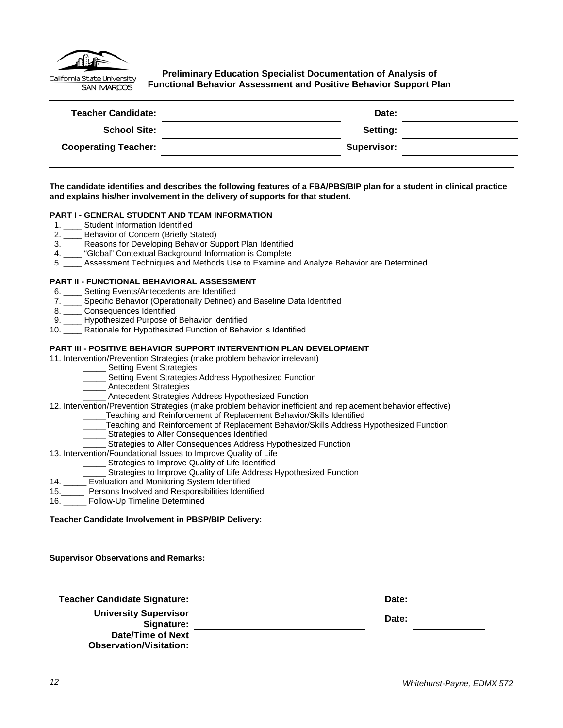

<span id="page-11-0"></span>**Preliminary Education Specialist Documentation of Analysis of Functional Behavior Assessment and Positive Behavior Support Plan**

| <b>Teacher Candidate:</b>   | Date:       |  |
|-----------------------------|-------------|--|
| <b>School Site:</b>         | Setting:    |  |
| <b>Cooperating Teacher:</b> | Supervisor: |  |
|                             |             |  |

**The candidate identifies and describes the following features of a FBA/PBS/BIP plan for a student in clinical practice and explains his/her involvement in the delivery of supports for that student.**

#### **PART I - GENERAL STUDENT AND TEAM INFORMATION**

- 1. \_\_\_\_ Student Information Identified
- 2. \_\_\_\_ Behavior of Concern (Briefly Stated)
- 3. \_\_\_\_ Reasons for Developing Behavior Support Plan Identified
- 4. \_\_\_\_ "Global" Contextual Background Information is Complete
- 5. \_\_\_\_ Assessment Techniques and Methods Use to Examine and Analyze Behavior are Determined

#### **PART II - FUNCTIONAL BEHAVIORAL ASSESSMENT**

- 6. \_\_\_\_ Setting Events/Antecedents are Identified
- 7. \_\_\_\_ Specific Behavior (Operationally Defined) and Baseline Data Identified
- 
- 8. \_\_\_\_ Consequences Identified<br>9. \_\_\_ Hypothesized Purpose of Hypothesized Purpose of Behavior Identified
- 10. \_\_\_\_ Rationale for Hypothesized Function of Behavior is Identified

#### **PART III - POSITIVE BEHAVIOR SUPPORT INTERVENTION PLAN DEVELOPMENT**

#### 11. Intervention/Prevention Strategies (make problem behavior irrelevant)

- \_\_\_\_\_ Setting Event Strategies
- Setting Event Strategies Address Hypothesized Function
- \_\_\_\_\_ Antecedent Strategies
- \_\_\_\_\_ Antecedent Strategies Address Hypothesized Function
- 12. Intervention/Prevention Strategies (make problem behavior inefficient and replacement behavior effective)
	- \_\_\_\_\_Teaching and Reinforcement of Replacement Behavior/Skills Identified
	- \_\_\_\_\_Teaching and Reinforcement of Replacement Behavior/Skills Address Hypothesized Function
	- Strategies to Alter Consequences Identified
	- Strategies to Alter Consequences Address Hypothesized Function

#### 13. Intervention/Foundational Issues to Improve Quality of Life

- Strategies to Improve Quality of Life Identified
- Strategies to Improve Quality of Life Address Hypothesized Function
- 14. \_\_\_\_\_ Evaluation and Monitoring System Identified
- 15.\_\_\_\_\_ Persons Involved and Responsibilities Identified
- 16. \_\_\_\_\_ Follow-Up Timeline Determined

#### **Teacher Candidate Involvement in PBSP/BIP Delivery:**

**Supervisor Observations and Remarks:**

| <b>Teacher Candidate Signature:</b>                 | Date: |
|-----------------------------------------------------|-------|
| <b>University Supervisor</b><br>Signature:          | Date: |
| Date/Time of Next<br><b>Observation/Visitation:</b> |       |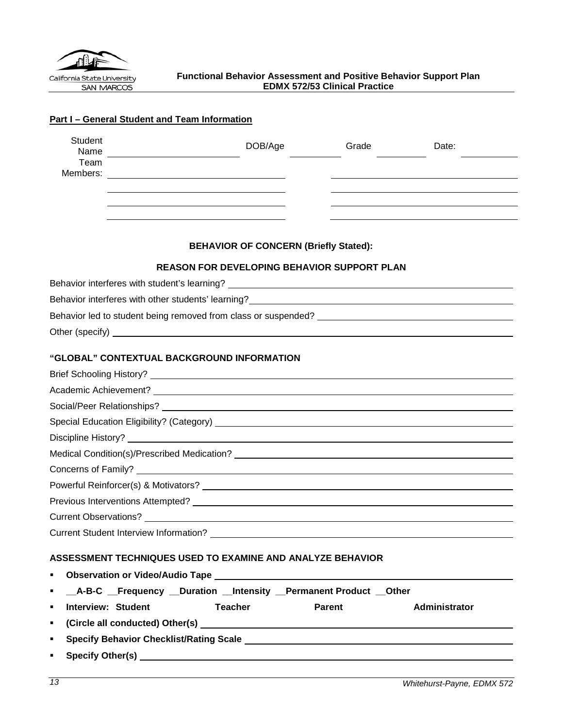<span id="page-12-0"></span>

| Student<br>Name                |                                                                        |                                                    | DOB/Age        |                                              | Grade | Date:                                                                                                                                                                                                                           |
|--------------------------------|------------------------------------------------------------------------|----------------------------------------------------|----------------|----------------------------------------------|-------|---------------------------------------------------------------------------------------------------------------------------------------------------------------------------------------------------------------------------------|
| Team<br>Members:               | <u> 1989 - Johann Barbara, martxa alemaniar amerikan a</u>             |                                                    |                |                                              |       |                                                                                                                                                                                                                                 |
|                                |                                                                        |                                                    |                |                                              |       |                                                                                                                                                                                                                                 |
|                                |                                                                        |                                                    |                |                                              |       |                                                                                                                                                                                                                                 |
|                                |                                                                        |                                                    |                |                                              |       |                                                                                                                                                                                                                                 |
|                                |                                                                        |                                                    |                | <b>BEHAVIOR OF CONCERN (Briefly Stated):</b> |       |                                                                                                                                                                                                                                 |
|                                |                                                                        | <b>REASON FOR DEVELOPING BEHAVIOR SUPPORT PLAN</b> |                |                                              |       |                                                                                                                                                                                                                                 |
|                                |                                                                        |                                                    |                |                                              |       |                                                                                                                                                                                                                                 |
|                                |                                                                        |                                                    |                |                                              |       |                                                                                                                                                                                                                                 |
|                                |                                                                        |                                                    |                |                                              |       |                                                                                                                                                                                                                                 |
|                                |                                                                        |                                                    |                |                                              |       |                                                                                                                                                                                                                                 |
|                                |                                                                        |                                                    |                |                                              |       |                                                                                                                                                                                                                                 |
|                                | "GLOBAL" CONTEXTUAL BACKGROUND INFORMATION                             |                                                    |                |                                              |       |                                                                                                                                                                                                                                 |
|                                |                                                                        |                                                    |                |                                              |       |                                                                                                                                                                                                                                 |
|                                |                                                                        |                                                    |                |                                              |       |                                                                                                                                                                                                                                 |
|                                |                                                                        |                                                    |                |                                              |       | Social/Peer Relationships? <b>Analyzer Social/Peer Relationships?</b>                                                                                                                                                           |
|                                |                                                                        |                                                    |                |                                              |       |                                                                                                                                                                                                                                 |
|                                |                                                                        |                                                    |                |                                              |       |                                                                                                                                                                                                                                 |
|                                |                                                                        |                                                    |                |                                              |       |                                                                                                                                                                                                                                 |
|                                |                                                                        |                                                    |                |                                              |       |                                                                                                                                                                                                                                 |
|                                |                                                                        |                                                    |                |                                              |       | Powerful Reinforcer(s) & Motivators?<br>and the contract of the contract of the contract of the contract of the contract of the contract of the contract of the contract of the contract of the contract of the contract of the |
|                                |                                                                        |                                                    |                |                                              |       |                                                                                                                                                                                                                                 |
|                                |                                                                        |                                                    |                |                                              |       |                                                                                                                                                                                                                                 |
|                                |                                                                        |                                                    |                |                                              |       |                                                                                                                                                                                                                                 |
|                                | ASSESSMENT TECHNIQUES USED TO EXAMINE AND ANALYZE BEHAVIOR             |                                                    |                |                                              |       |                                                                                                                                                                                                                                 |
| ٠                              |                                                                        |                                                    |                |                                              |       |                                                                                                                                                                                                                                 |
| ٠                              | __A-B-C __Frequency __Duration __Intensity __Permanent Product __Other |                                                    |                |                                              |       |                                                                                                                                                                                                                                 |
| <b>Interview: Student</b><br>٠ |                                                                        |                                                    | <b>Teacher</b> | <b>Parent</b>                                |       | Administrator                                                                                                                                                                                                                   |
| ٠                              |                                                                        |                                                    |                |                                              |       |                                                                                                                                                                                                                                 |
| ٠                              |                                                                        |                                                    |                |                                              |       | Specify Behavior Checklist/Rating Scale League And Alexander And Alexander Andrew Scale                                                                                                                                         |
| ٠                              |                                                                        |                                                    |                |                                              |       |                                                                                                                                                                                                                                 |

# **Part I – General Student and Team Information**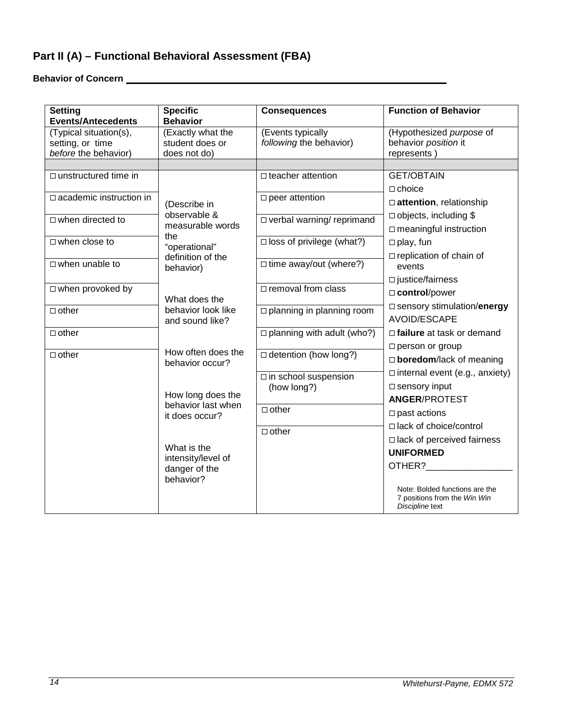# **Part II (A) – Functional Behavioral Assessment (FBA)**

**Behavior of Concern** 

| <b>Setting</b><br><b>Events/Antecedents</b> | <b>Specific</b><br><b>Behavior</b> | <b>Consequences</b>                 | <b>Function of Behavior</b>                                                       |
|---------------------------------------------|------------------------------------|-------------------------------------|-----------------------------------------------------------------------------------|
| (Typical situation(s),                      | (Exactly what the                  | (Events typically                   | (Hypothesized purpose of                                                          |
| setting, or time                            | student does or                    | following the behavior)             | behavior position it                                                              |
| before the behavior)                        | does not do)                       |                                     | represents)                                                                       |
|                                             |                                    |                                     |                                                                                   |
| $\Box$ unstructured time in                 |                                    | $\Box$ teacher attention            | <b>GET/OBTAIN</b>                                                                 |
| $\Box$ academic instruction in              |                                    |                                     | $\Box$ choice                                                                     |
|                                             | (Describe in                       | $\square$ peer attention            | $\Box$ attention, relationship                                                    |
| $\Box$ when directed to                     | observable &                       | □ verbal warning/ reprimand         | $\Box$ objects, including \$                                                      |
|                                             | measurable words                   |                                     | $\Box$ meaningful instruction                                                     |
| $\Box$ when close to                        | the                                | $\square$ loss of privilege (what?) | $\Box$ play, fun                                                                  |
|                                             | "operational"<br>definition of the |                                     | $\Box$ replication of chain of                                                    |
| $\Box$ when unable to                       | behavior)                          | $\Box$ time away/out (where?)       | events                                                                            |
|                                             |                                    |                                     | $\square$ justice/fairness                                                        |
| $\Box$ when provoked by                     |                                    | □ removal from class                | □ control/power                                                                   |
|                                             | What does the                      |                                     |                                                                                   |
| $\Box$ other                                | behavior look like                 | $\Box$ planning in planning room    | □ sensory stimulation/energy                                                      |
|                                             | and sound like?                    |                                     | AVOID/ESCAPE                                                                      |
| $\Box$ other                                |                                    | $\Box$ planning with adult (who?)   | □ failure at task or demand                                                       |
|                                             | How often does the                 |                                     | □ person or group                                                                 |
| $\Box$ other                                | behavior occur?                    | $\Box$ detention (how long?)        | $\Box$ boredom/lack of meaning                                                    |
|                                             |                                    | □ in school suspension              | $\Box$ internal event (e.g., anxiety)                                             |
|                                             |                                    | (how long?)                         | $\square$ sensory input                                                           |
|                                             | How long does the                  |                                     | <b>ANGER/PROTEST</b>                                                              |
|                                             | behavior last when                 | $\Box$ other                        | $\square$ past actions                                                            |
|                                             | it does occur?                     |                                     | □ lack of choice/control                                                          |
|                                             |                                    | $\Box$ other                        |                                                                                   |
|                                             | What is the                        |                                     | $\Box$ lack of perceived fairness                                                 |
|                                             | intensity/level of                 |                                     | <b>UNIFORMED</b>                                                                  |
|                                             | danger of the                      |                                     | OTHER?                                                                            |
|                                             | behavior?                          |                                     |                                                                                   |
|                                             |                                    |                                     | Note: Bolded functions are the<br>7 positions from the Win Win<br>Discipline text |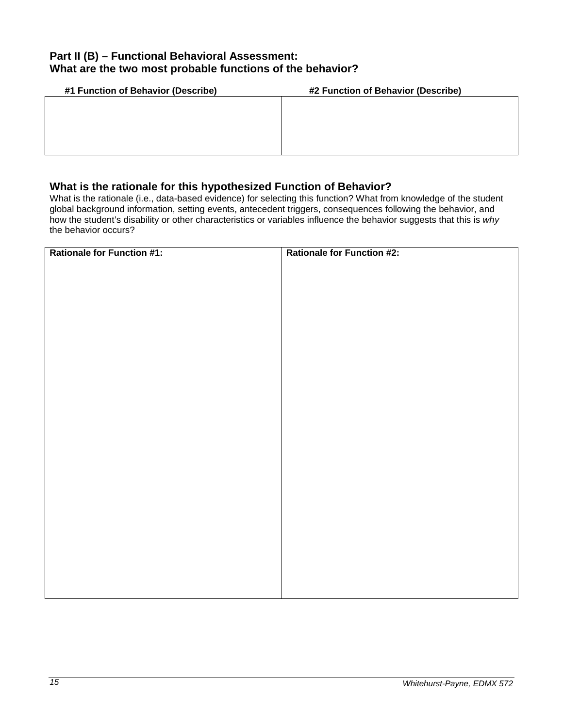## **Part II (B) – Functional Behavioral Assessment: What are the two most probable functions of the behavior?**

| #1 Function of Behavior (Describe) | #2 Function of Behavior (Describe) |  |
|------------------------------------|------------------------------------|--|
|                                    |                                    |  |
|                                    |                                    |  |
|                                    |                                    |  |
|                                    |                                    |  |
|                                    |                                    |  |

## **What is the rationale for this hypothesized Function of Behavior?**

What is the rationale (i.e., data-based evidence) for selecting this function? What from knowledge of the student global background information, setting events, antecedent triggers, consequences following the behavior, and how the student's disability or other characteristics or variables influence the behavior suggests that this is *why*  the behavior occurs?

| <b>Rationale for Function #1:</b> | <b>Rationale for Function #2:</b> |
|-----------------------------------|-----------------------------------|
|                                   |                                   |
|                                   |                                   |
|                                   |                                   |
|                                   |                                   |
|                                   |                                   |
|                                   |                                   |
|                                   |                                   |
|                                   |                                   |
|                                   |                                   |
|                                   |                                   |
|                                   |                                   |
|                                   |                                   |
|                                   |                                   |
|                                   |                                   |
|                                   |                                   |
|                                   |                                   |
|                                   |                                   |
|                                   |                                   |
|                                   |                                   |
|                                   |                                   |
|                                   |                                   |
|                                   |                                   |
|                                   |                                   |
|                                   |                                   |
|                                   |                                   |
|                                   |                                   |
|                                   |                                   |
|                                   |                                   |
|                                   |                                   |
|                                   |                                   |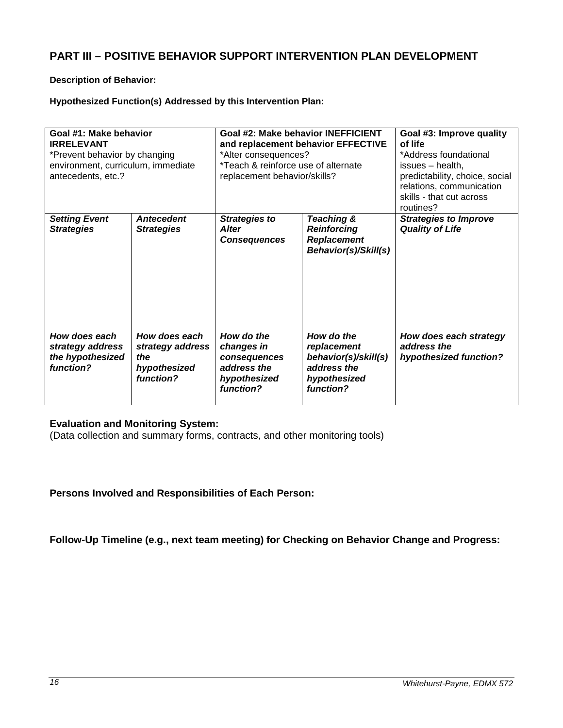## **PART III – POSITIVE BEHAVIOR SUPPORT INTERVENTION PLAN DEVELOPMENT**

### **Description of Behavior:**

## **Hypothesized Function(s) Addressed by this Intervention Plan:**

| Goal #1: Make behavior<br><b>IRRELEVANT</b><br>*Prevent behavior by changing<br>environment, curriculum, immediate<br>antecedents, etc.? |                                                                       | Goal #2: Make behavior INEFFICIENT<br>and replacement behavior EFFECTIVE<br>*Alter consequences?<br>*Teach & reinforce use of alternate<br>replacement behavior/skills? |                                                                                               | Goal #3: Improve quality<br>of life<br>*Address foundational<br>issues – health,<br>predictability, choice, social<br>relations, communication<br>skills - that cut across<br>routines? |
|------------------------------------------------------------------------------------------------------------------------------------------|-----------------------------------------------------------------------|-------------------------------------------------------------------------------------------------------------------------------------------------------------------------|-----------------------------------------------------------------------------------------------|-----------------------------------------------------------------------------------------------------------------------------------------------------------------------------------------|
| <b>Setting Event</b><br><b>Strategies</b>                                                                                                | <b>Antecedent</b><br><b>Strategies</b>                                | <b>Strategies to</b><br><b>Alter</b><br><b>Consequences</b>                                                                                                             | Teaching &<br><b>Reinforcing</b><br><b>Replacement</b><br>Behavior(s)/Skill(s)                | <b>Strategies to Improve</b><br><b>Quality of Life</b>                                                                                                                                  |
| How does each<br>strategy address<br>the hypothesized<br>function?                                                                       | How does each<br>strategy address<br>the<br>hypothesized<br>function? | How do the<br>changes in<br>consequences<br>address the<br>hypothesized<br>function?                                                                                    | How do the<br>replacement<br>behavior(s)/skill(s)<br>address the<br>hypothesized<br>function? | How does each strategy<br>address the<br>hypothesized function?                                                                                                                         |

## **Evaluation and Monitoring System:**

(Data collection and summary forms, contracts, and other monitoring tools)

**Persons Involved and Responsibilities of Each Person:**

**Follow-Up Timeline (e.g., next team meeting) for Checking on Behavior Change and Progress:**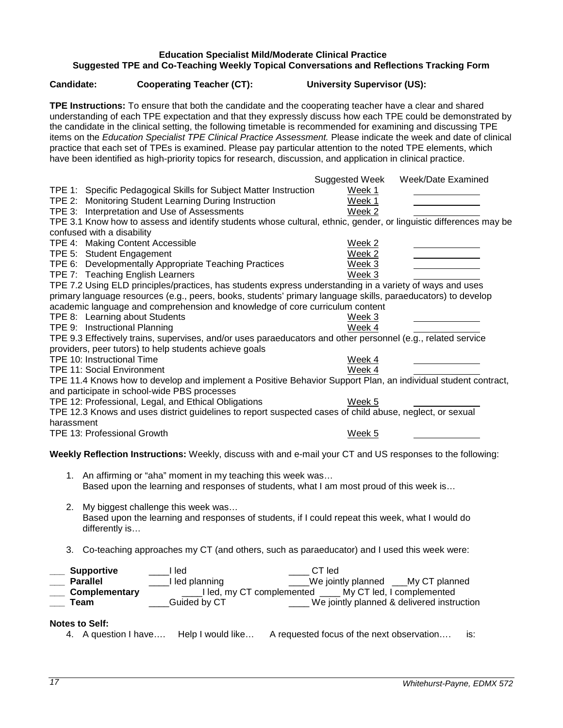### **Education Specialist Mild/Moderate Clinical Practice Suggested TPE and Co-Teaching Weekly Topical Conversations and Reflections Tracking Form**

**TPE Instructions:** To ensure that both the candidate and the cooperating teacher have a clear and shared

<span id="page-16-0"></span>**Candidate: Cooperating Teacher (CT): University Supervisor (US):**

| understanding of each TPE expectation and that they expressly discuss how each TPE could be demonstrated by<br>the candidate in the clinical setting, the following timetable is recommended for examining and discussing TPE<br>items on the Education Specialist TPE Clinical Practice Assessment. Please indicate the week and date of clinical<br>practice that each set of TPEs is examined. Please pay particular attention to the noted TPE elements, which<br>have been identified as high-priority topics for research, discussion, and application in clinical practice. |                                                               |
|------------------------------------------------------------------------------------------------------------------------------------------------------------------------------------------------------------------------------------------------------------------------------------------------------------------------------------------------------------------------------------------------------------------------------------------------------------------------------------------------------------------------------------------------------------------------------------|---------------------------------------------------------------|
|                                                                                                                                                                                                                                                                                                                                                                                                                                                                                                                                                                                    | Week/Date Examined<br>Suggested Week                          |
| TPE 1: Specific Pedagogical Skills for Subject Matter Instruction                                                                                                                                                                                                                                                                                                                                                                                                                                                                                                                  | Week 1                                                        |
| TPE 2: Monitoring Student Learning During Instruction                                                                                                                                                                                                                                                                                                                                                                                                                                                                                                                              | Week 1                                                        |
| TPE 3: Interpretation and Use of Assessments                                                                                                                                                                                                                                                                                                                                                                                                                                                                                                                                       | Week 2                                                        |
| TPE 3.1 Know how to assess and identify students whose cultural, ethnic, gender, or linguistic differences may be                                                                                                                                                                                                                                                                                                                                                                                                                                                                  |                                                               |
| confused with a disability                                                                                                                                                                                                                                                                                                                                                                                                                                                                                                                                                         |                                                               |
| TPE 4: Making Content Accessible                                                                                                                                                                                                                                                                                                                                                                                                                                                                                                                                                   | Week 2                                                        |
| TPE 5: Student Engagement                                                                                                                                                                                                                                                                                                                                                                                                                                                                                                                                                          | Week 2                                                        |
| TPE 6: Developmentally Appropriate Teaching Practices                                                                                                                                                                                                                                                                                                                                                                                                                                                                                                                              | Week 3                                                        |
| TPE 7: Teaching English Learners                                                                                                                                                                                                                                                                                                                                                                                                                                                                                                                                                   | Week 3                                                        |
| TPE 7.2 Using ELD principles/practices, has students express understanding in a variety of ways and uses<br>primary language resources (e.g., peers, books, students' primary language skills, paraeducators) to develop<br>academic language and comprehension and knowledge of core curriculum content<br>TPE 8: Learning about Students                                                                                                                                                                                                                                         | Week 3                                                        |
| TPE 9: Instructional Planning                                                                                                                                                                                                                                                                                                                                                                                                                                                                                                                                                      | Week 4                                                        |
| TPE 9.3 Effectively trains, supervises, and/or uses paraeducators and other personnel (e.g., related service                                                                                                                                                                                                                                                                                                                                                                                                                                                                       |                                                               |
| providers, peer tutors) to help students achieve goals                                                                                                                                                                                                                                                                                                                                                                                                                                                                                                                             |                                                               |
| TPE 10: Instructional Time                                                                                                                                                                                                                                                                                                                                                                                                                                                                                                                                                         | Week 4                                                        |
| <b>TPE 11: Social Environment</b>                                                                                                                                                                                                                                                                                                                                                                                                                                                                                                                                                  | Week 4                                                        |
| TPE 11.4 Knows how to develop and implement a Positive Behavior Support Plan, an individual student contract,                                                                                                                                                                                                                                                                                                                                                                                                                                                                      |                                                               |
| and participate in school-wide PBS processes                                                                                                                                                                                                                                                                                                                                                                                                                                                                                                                                       |                                                               |
| TPE 12: Professional, Legal, and Ethical Obligations<br>TPE 12.3 Knows and uses district guidelines to report suspected cases of child abuse, neglect, or sexual                                                                                                                                                                                                                                                                                                                                                                                                                   | Week 5                                                        |
| harassment                                                                                                                                                                                                                                                                                                                                                                                                                                                                                                                                                                         |                                                               |
| TPE 13: Professional Growth                                                                                                                                                                                                                                                                                                                                                                                                                                                                                                                                                        | Week 5                                                        |
|                                                                                                                                                                                                                                                                                                                                                                                                                                                                                                                                                                                    |                                                               |
| Weekly Reflection Instructions: Weekly, discuss with and e-mail your CT and US responses to the following:                                                                                                                                                                                                                                                                                                                                                                                                                                                                         |                                                               |
| 1. An affirming or "aha" moment in my teaching this week was<br>Based upon the learning and responses of students, what I am most proud of this week is                                                                                                                                                                                                                                                                                                                                                                                                                            |                                                               |
| My biggest challenge this week was<br>2.<br>Based upon the learning and responses of students, if I could repeat this week, what I would do<br>differently is                                                                                                                                                                                                                                                                                                                                                                                                                      |                                                               |
| Co-teaching approaches my CT (and others, such as paraeducator) and I used this week were:<br>3.                                                                                                                                                                                                                                                                                                                                                                                                                                                                                   |                                                               |
| <b>Supportive</b><br>I led                                                                                                                                                                                                                                                                                                                                                                                                                                                                                                                                                         | CT led                                                        |
| <b>Parallel</b><br>I led planning                                                                                                                                                                                                                                                                                                                                                                                                                                                                                                                                                  | We jointly planned ___My CT planned                           |
| Complementary                                                                                                                                                                                                                                                                                                                                                                                                                                                                                                                                                                      | ____I led, my CT complemented _____ My CT led, I complemented |
| Guided by CT<br><b>Team</b>                                                                                                                                                                                                                                                                                                                                                                                                                                                                                                                                                        | ____ We jointly planned & delivered instruction               |
| <b>Notes to Self:</b>                                                                                                                                                                                                                                                                                                                                                                                                                                                                                                                                                              |                                                               |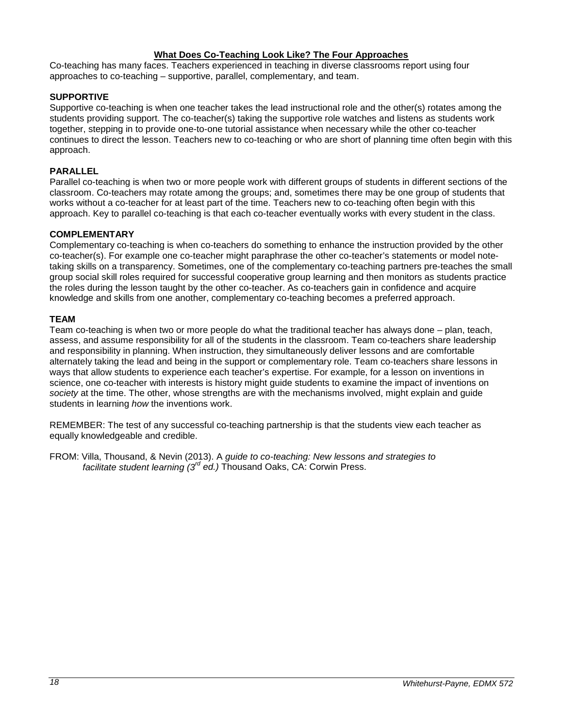### **What Does Co-Teaching Look Like? The Four Approaches**

Co-teaching has many faces. Teachers experienced in teaching in diverse classrooms report using four approaches to co-teaching – supportive, parallel, complementary, and team.

### **SUPPORTIVE**

Supportive co-teaching is when one teacher takes the lead instructional role and the other(s) rotates among the students providing support. The co-teacher(s) taking the supportive role watches and listens as students work together, stepping in to provide one-to-one tutorial assistance when necessary while the other co-teacher continues to direct the lesson. Teachers new to co-teaching or who are short of planning time often begin with this approach.

### **PARALLEL**

Parallel co-teaching is when two or more people work with different groups of students in different sections of the classroom. Co-teachers may rotate among the groups; and, sometimes there may be one group of students that works without a co-teacher for at least part of the time. Teachers new to co-teaching often begin with this approach. Key to parallel co-teaching is that each co-teacher eventually works with every student in the class.

### **COMPLEMENTARY**

Complementary co-teaching is when co-teachers do something to enhance the instruction provided by the other co-teacher(s). For example one co-teacher might paraphrase the other co-teacher's statements or model notetaking skills on a transparency. Sometimes, one of the complementary co-teaching partners pre-teaches the small group social skill roles required for successful cooperative group learning and then monitors as students practice the roles during the lesson taught by the other co-teacher. As co-teachers gain in confidence and acquire knowledge and skills from one another, complementary co-teaching becomes a preferred approach.

### **TEAM**

Team co-teaching is when two or more people do what the traditional teacher has always done – plan, teach, assess, and assume responsibility for all of the students in the classroom. Team co-teachers share leadership and responsibility in planning. When instruction, they simultaneously deliver lessons and are comfortable alternately taking the lead and being in the support or complementary role. Team co-teachers share lessons in ways that allow students to experience each teacher's expertise. For example, for a lesson on inventions in science, one co-teacher with interests is history might guide students to examine the impact of inventions on *society* at the time. The other, whose strengths are with the mechanisms involved, might explain and guide students in learning *how* the inventions work.

REMEMBER: The test of any successful co-teaching partnership is that the students view each teacher as equally knowledgeable and credible.

FROM: Villa, Thousand, & Nevin (2013). A *guide to co-teaching: New lessons and strategies to facilitate student learning (3rd ed.)* Thousand Oaks, CA: Corwin Press.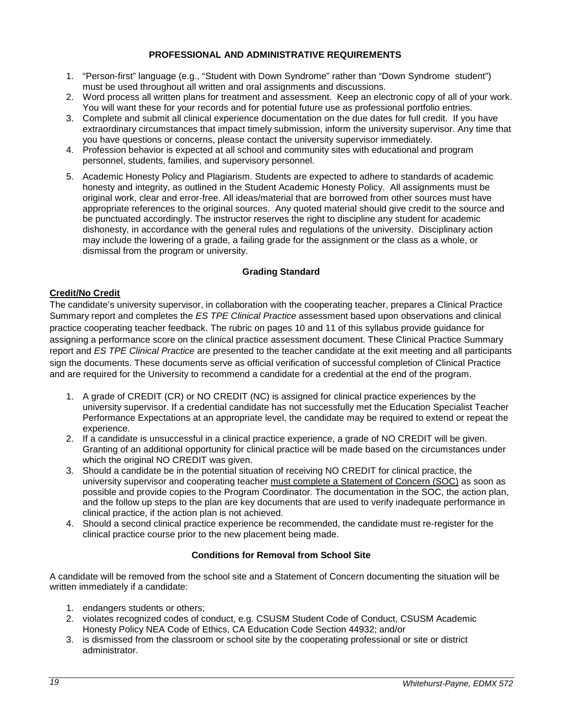### **PROFESSIONAL AND ADMINISTRATIVE REQUIREMENTS**

- <span id="page-18-0"></span>1. "Person-first" language (e.g., "Student with Down Syndrome" rather than "Down Syndrome student") must be used throughout all written and oral assignments and discussions.
- 2. Word process all written plans for treatment and assessment. Keep an electronic copy of all of your work. You will want these for your records and for potential future use as professional portfolio entries.
- 3. Complete and submit all clinical experience documentation on the due dates for full credit. If you have extraordinary circumstances that impact timely submission, inform the university supervisor. Any time that you have questions or concerns, please contact the university supervisor immediately.
- 4. Profession behavior is expected at all school and community sites with educational and program personnel, students, families, and supervisory personnel.
- 5. Academic Honesty Policy and Plagiarism. Students are expected to adhere to standards of academic honesty and integrity, as outlined in the Student Academic Honesty Policy. All assignments must be original work, clear and error-free. All ideas/material that are borrowed from other sources must have appropriate references to the original sources. Any quoted material should give credit to the source and be punctuated accordingly. The instructor reserves the right to discipline any student for academic dishonesty, in accordance with the general rules and regulations of the university. Disciplinary action may include the lowering of a grade, a failing grade for the assignment or the class as a whole, or dismissal from the program or university.

### **Grading Standard**

### <span id="page-18-2"></span><span id="page-18-1"></span>**Credit/No Credit**

The candidate's university supervisor, in collaboration with the cooperating teacher, prepares a Clinical Practice Summary report and completes the *ES TPE Clinical Practice* assessment based upon observations and clinical practice cooperating teacher feedback. The rubric on pages 10 and 11 of this syllabus provide guidance for assigning a performance score on the clinical practice assessment document. These Clinical Practice Summary report and *ES TPE Clinical Practice* are presented to the teacher candidate at the exit meeting and all participants sign the documents. These documents serve as official verification of successful completion of Clinical Practice and are required for the University to recommend a candidate for a credential at the end of the program.

- 1. A grade of CREDIT (CR) or NO CREDIT (NC) is assigned for clinical practice experiences by the university supervisor. If a credential candidate has not successfully met the Education Specialist Teacher Performance Expectations at an appropriate level, the candidate may be required to extend or repeat the experience.
- 2. If a candidate is unsuccessful in a clinical practice experience, a grade of NO CREDIT will be given. Granting of an additional opportunity for clinical practice will be made based on the circumstances under which the original NO CREDIT was given.
- 3. Should a candidate be in the potential situation of receiving NO CREDIT for clinical practice, the university supervisor and cooperating teacher must complete a Statement of Concern (SOC) as soon as possible and provide copies to the Program Coordinator. The documentation in the SOC, the action plan, and the follow up steps to the plan are key documents that are used to verify inadequate performance in clinical practice, if the action plan is not achieved.
- 4. Should a second clinical practice experience be recommended, the candidate must re-register for the clinical practice course prior to the new placement being made.

### **Conditions for Removal from School Site**

<span id="page-18-3"></span>A candidate will be removed from the school site and a Statement of Concern documenting the situation will be written immediately if a candidate:

- 1. endangers students or others;
- 2. violates recognized codes of conduct, e.g. CSUSM Student Code of Conduct, CSUSM Academic Honesty Policy NEA Code of Ethics, CA Education Code Section 44932; and/or
- 3. is dismissed from the classroom or school site by the cooperating professional or site or district administrator.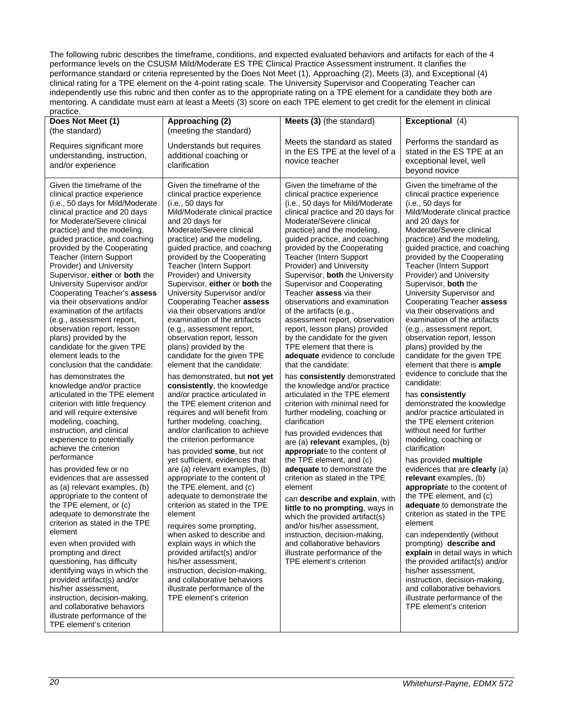The following rubric describes the timeframe, conditions, and expected evaluated behaviors and artifacts for each of the 4 performance levels on the CSUSM Mild/Moderate ES TPE Clinical Practice Assessment instrument. It clarifies the performance standard or criteria represented by the Does Not Meet (1), Approaching (2), Meets (3), and Exceptional (4) clinical rating for a TPE element on the 4-point rating scale. The University Supervisor and Cooperating Teacher can independently use this rubric and then confer as to the appropriate rating on a TPE element for a candidate they both are mentoring. A candidate must earn at least a Meets (3) score on each TPE element to get credit for the element in clinical

| practice.                                                                                                                                                                                                                                                                                                                                                                                                                                                                                                                                                                                                                                                                                                                                                                                                                                                                                                                                                                                                                                                                                                                                                                                                                                                                                                                                                                                                                                                                                      |                                                                                                                                                                                                                                                                                                                                                                                                                                                                                                                                                                                                                                                                                                                                                                                                                                                                                                                                                                                                                                                                                                                                                                                                                                                                                                                                                                                                                                      |                                                                                                                                                                                                                                                                                                                                                                                                                                                                                                                                                                                                                                                                                                                                                                                                                                                                                                                                                                                                                                                                                                                                                                                                                                                                                                                                              |                                                                                                                                                                                                                                                                                                                                                                                                                                                                                                                                                                                                                                                                                                                                                                                                                                                                                                                                                                                                                                                                                                                                                                                                                                                                                                                                                                                            |
|------------------------------------------------------------------------------------------------------------------------------------------------------------------------------------------------------------------------------------------------------------------------------------------------------------------------------------------------------------------------------------------------------------------------------------------------------------------------------------------------------------------------------------------------------------------------------------------------------------------------------------------------------------------------------------------------------------------------------------------------------------------------------------------------------------------------------------------------------------------------------------------------------------------------------------------------------------------------------------------------------------------------------------------------------------------------------------------------------------------------------------------------------------------------------------------------------------------------------------------------------------------------------------------------------------------------------------------------------------------------------------------------------------------------------------------------------------------------------------------------|--------------------------------------------------------------------------------------------------------------------------------------------------------------------------------------------------------------------------------------------------------------------------------------------------------------------------------------------------------------------------------------------------------------------------------------------------------------------------------------------------------------------------------------------------------------------------------------------------------------------------------------------------------------------------------------------------------------------------------------------------------------------------------------------------------------------------------------------------------------------------------------------------------------------------------------------------------------------------------------------------------------------------------------------------------------------------------------------------------------------------------------------------------------------------------------------------------------------------------------------------------------------------------------------------------------------------------------------------------------------------------------------------------------------------------------|----------------------------------------------------------------------------------------------------------------------------------------------------------------------------------------------------------------------------------------------------------------------------------------------------------------------------------------------------------------------------------------------------------------------------------------------------------------------------------------------------------------------------------------------------------------------------------------------------------------------------------------------------------------------------------------------------------------------------------------------------------------------------------------------------------------------------------------------------------------------------------------------------------------------------------------------------------------------------------------------------------------------------------------------------------------------------------------------------------------------------------------------------------------------------------------------------------------------------------------------------------------------------------------------------------------------------------------------|--------------------------------------------------------------------------------------------------------------------------------------------------------------------------------------------------------------------------------------------------------------------------------------------------------------------------------------------------------------------------------------------------------------------------------------------------------------------------------------------------------------------------------------------------------------------------------------------------------------------------------------------------------------------------------------------------------------------------------------------------------------------------------------------------------------------------------------------------------------------------------------------------------------------------------------------------------------------------------------------------------------------------------------------------------------------------------------------------------------------------------------------------------------------------------------------------------------------------------------------------------------------------------------------------------------------------------------------------------------------------------------------|
| Does Not Meet (1)<br>(the standard)                                                                                                                                                                                                                                                                                                                                                                                                                                                                                                                                                                                                                                                                                                                                                                                                                                                                                                                                                                                                                                                                                                                                                                                                                                                                                                                                                                                                                                                            | Approaching (2)<br>(meeting the standard)                                                                                                                                                                                                                                                                                                                                                                                                                                                                                                                                                                                                                                                                                                                                                                                                                                                                                                                                                                                                                                                                                                                                                                                                                                                                                                                                                                                            | Meets (3) (the standard)                                                                                                                                                                                                                                                                                                                                                                                                                                                                                                                                                                                                                                                                                                                                                                                                                                                                                                                                                                                                                                                                                                                                                                                                                                                                                                                     | Exceptional (4)                                                                                                                                                                                                                                                                                                                                                                                                                                                                                                                                                                                                                                                                                                                                                                                                                                                                                                                                                                                                                                                                                                                                                                                                                                                                                                                                                                            |
| Requires significant more<br>understanding, instruction,<br>and/or experience                                                                                                                                                                                                                                                                                                                                                                                                                                                                                                                                                                                                                                                                                                                                                                                                                                                                                                                                                                                                                                                                                                                                                                                                                                                                                                                                                                                                                  | Understands but requires<br>additional coaching or<br>clarification                                                                                                                                                                                                                                                                                                                                                                                                                                                                                                                                                                                                                                                                                                                                                                                                                                                                                                                                                                                                                                                                                                                                                                                                                                                                                                                                                                  | Meets the standard as stated<br>in the ES TPE at the level of a<br>novice teacher                                                                                                                                                                                                                                                                                                                                                                                                                                                                                                                                                                                                                                                                                                                                                                                                                                                                                                                                                                                                                                                                                                                                                                                                                                                            | Performs the standard as<br>stated in the ES TPE at an<br>exceptional level, well<br>beyond novice                                                                                                                                                                                                                                                                                                                                                                                                                                                                                                                                                                                                                                                                                                                                                                                                                                                                                                                                                                                                                                                                                                                                                                                                                                                                                         |
| Given the timeframe of the<br>clinical practice experience<br>(i.e., 50 days for Mild/Moderate<br>clinical practice and 20 days<br>for Moderate/Severe clinical<br>practice) and the modeling,<br>guided practice, and coaching<br>provided by the Cooperating<br>Teacher (Intern Support<br>Provider) and University<br>Supervisor, either or both the<br>University Supervisor and/or<br>Cooperating Teacher's assess<br>via their observations and/or<br>examination of the artifacts<br>(e.g., assessment report,<br>observation report, lesson<br>plans) provided by the<br>candidate for the given TPE<br>element leads to the<br>conclusion that the candidate:<br>has demonstrates the<br>knowledge and/or practice<br>articulated in the TPE element<br>criterion with little frequency<br>and will require extensive<br>modeling, coaching,<br>instruction, and clinical<br>experience to potentially<br>achieve the criterion<br>performance<br>has provided few or no<br>evidences that are assessed<br>as (a) relevant examples, (b)<br>appropriate to the content of<br>the TPE element, or (c)<br>adequate to demonstrate the<br>criterion as stated in the TPE<br>element<br>even when provided with<br>prompting and direct<br>questioning, has difficulty<br>identifying ways in which the<br>provided artifact(s) and/or<br>his/her assessment.<br>instruction, decision-making,<br>and collaborative behaviors<br>illustrate performance of the<br>TPE element's criterion | Given the timeframe of the<br>clinical practice experience<br>(i.e., 50 days for<br>Mild/Moderate clinical practice<br>and 20 days for<br>Moderate/Severe clinical<br>practice) and the modeling,<br>guided practice, and coaching<br>provided by the Cooperating<br>Teacher (Intern Support<br>Provider) and University<br>Supervisor, either or both the<br>University Supervisor and/or<br>Cooperating Teacher assess<br>via their observations and/or<br>examination of the artifacts<br>(e.g., assessment report,<br>observation report, lesson<br>plans) provided by the<br>candidate for the given TPE<br>element that the candidate:<br>has demonstrated, but not yet<br>consistently, the knowledge<br>and/or practice articulated in<br>the TPE element criterion and<br>requires and will benefit from<br>further modeling, coaching,<br>and/or clarification to achieve<br>the criterion performance<br>has provided some, but not<br>yet sufficient, evidences that<br>are (a) relevant examples, (b)<br>appropriate to the content of<br>the TPE element, and (c)<br>adequate to demonstrate the<br>criterion as stated in the TPE<br>element<br>requires some prompting,<br>when asked to describe and<br>explain ways in which the<br>provided artifact(s) and/or<br>his/her assessment,<br>instruction, decision-making,<br>and collaborative behaviors<br>illustrate performance of the<br>TPE element's criterion | Given the timeframe of the<br>clinical practice experience<br>(i.e., 50 days for Mild/Moderate<br>clinical practice and 20 days for<br>Moderate/Severe clinical<br>practice) and the modeling,<br>guided practice, and coaching<br>provided by the Cooperating<br>Teacher (Intern Support<br>Provider) and University<br>Supervisor, both the University<br>Supervisor and Cooperating<br>Teacher assess via their<br>observations and examination<br>of the artifacts (e.g.,<br>assessment report, observation<br>report, lesson plans) provided<br>by the candidate for the given<br>TPE element that there is<br>adequate evidence to conclude<br>that the candidate:<br>has consistently demonstrated<br>the knowledge and/or practice<br>articulated in the TPE element<br>criterion with minimal need for<br>further modeling, coaching or<br>clarification<br>has provided evidences that<br>are (a) relevant examples, (b)<br>appropriate to the content of<br>the TPE element, and (c)<br>adequate to demonstrate the<br>criterion as stated in the TPE<br>element<br>can describe and explain, with<br>little to no prompting, ways in<br>which the provided artifact(s)<br>and/or his/her assessment,<br>instruction, decision-making,<br>and collaborative behaviors<br>illustrate performance of the<br>TPE element's criterion | Given the timeframe of the<br>clinical practice experience<br>(i.e., 50 days for<br>Mild/Moderate clinical practice<br>and 20 days for<br>Moderate/Severe clinical<br>practice) and the modeling,<br>guided practice, and coaching<br>provided by the Cooperating<br><b>Teacher (Intern Support)</b><br>Provider) and University<br>Supervisor, both the<br>University Supervisor and<br>Cooperating Teacher assess<br>via their observations and<br>examination of the artifacts<br>(e.g., assessment report,<br>observation report, lesson<br>plans) provided by the<br>candidate for the given TPE<br>element that there is ample<br>evidence to conclude that the<br>candidate:<br>has consistently<br>demonstrated the knowledge<br>and/or practice articulated in<br>the TPE element criterion<br>without need for further<br>modeling, coaching or<br>clarification<br>has provided multiple<br>evidences that are clearly (a)<br>relevant examples, (b)<br>appropriate to the content of<br>the TPE element, and (c)<br>adequate to demonstrate the<br>criterion as stated in the TPE<br>element<br>can independently (without<br>prompting) describe and<br>explain in detail ways in which<br>the provided artifact(s) and/or<br>his/her assessment,<br>instruction, decision-making,<br>and collaborative behaviors<br>illustrate performance of the<br>TPE element's criterion |
|                                                                                                                                                                                                                                                                                                                                                                                                                                                                                                                                                                                                                                                                                                                                                                                                                                                                                                                                                                                                                                                                                                                                                                                                                                                                                                                                                                                                                                                                                                |                                                                                                                                                                                                                                                                                                                                                                                                                                                                                                                                                                                                                                                                                                                                                                                                                                                                                                                                                                                                                                                                                                                                                                                                                                                                                                                                                                                                                                      |                                                                                                                                                                                                                                                                                                                                                                                                                                                                                                                                                                                                                                                                                                                                                                                                                                                                                                                                                                                                                                                                                                                                                                                                                                                                                                                                              |                                                                                                                                                                                                                                                                                                                                                                                                                                                                                                                                                                                                                                                                                                                                                                                                                                                                                                                                                                                                                                                                                                                                                                                                                                                                                                                                                                                            |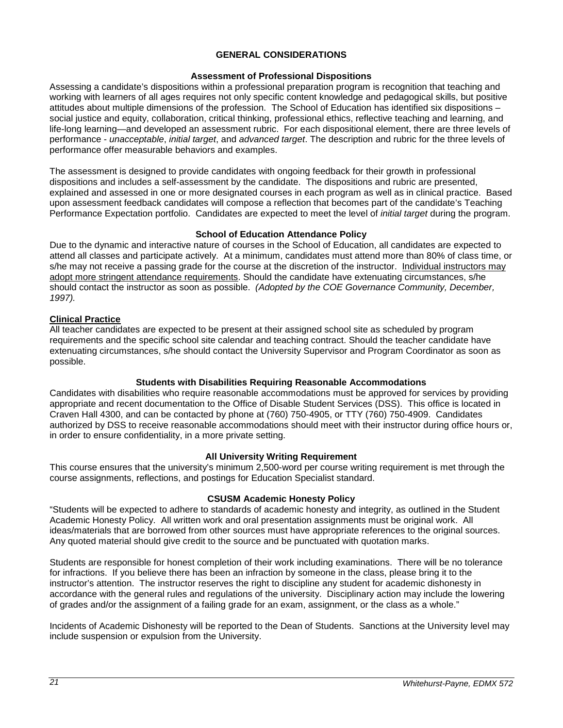### **GENERAL CONSIDERATIONS**

### **Assessment of Professional Dispositions**

<span id="page-20-1"></span><span id="page-20-0"></span>Assessing a candidate's dispositions within a professional preparation program is recognition that teaching and working with learners of all ages requires not only specific content knowledge and pedagogical skills, but positive attitudes about multiple dimensions of the profession. The School of Education has identified six dispositions – social justice and equity, collaboration, critical thinking, professional ethics, reflective teaching and learning, and life-long learning—and developed an assessment rubric. For each dispositional element, there are three levels of performance - *unacceptable*, *initial target*, and *advanced target*. The description and rubric for the three levels of performance offer measurable behaviors and examples.

The assessment is designed to provide candidates with ongoing feedback for their growth in professional dispositions and includes a self-assessment by the candidate. The dispositions and rubric are presented, explained and assessed in one or more designated courses in each program as well as in clinical practice. Based upon assessment feedback candidates will compose a reflection that becomes part of the candidate's Teaching Performance Expectation portfolio. Candidates are expected to meet the level of *initial target* during the program.

### **School of Education Attendance Policy**

<span id="page-20-2"></span>Due to the dynamic and interactive nature of courses in the School of Education, all candidates are expected to attend all classes and participate actively. At a minimum, candidates must attend more than 80% of class time, or s/he may not receive a passing grade for the course at the discretion of the instructor. Individual instructors may adopt more stringent attendance requirements. Should the candidate have extenuating circumstances, s/he should contact the instructor as soon as possible. *(Adopted by the COE Governance Community, December, 1997).*

### <span id="page-20-3"></span>**Clinical Practice**

All teacher candidates are expected to be present at their assigned school site as scheduled by program requirements and the specific school site calendar and teaching contract. Should the teacher candidate have extenuating circumstances, s/he should contact the University Supervisor and Program Coordinator as soon as possible.

### **Students with Disabilities Requiring Reasonable Accommodations**

<span id="page-20-4"></span>Candidates with disabilities who require reasonable accommodations must be approved for services by providing appropriate and recent documentation to the Office of Disable Student Services (DSS). This office is located in Craven Hall 4300, and can be contacted by phone at (760) 750-4905, or TTY (760) 750-4909. Candidates authorized by DSS to receive reasonable accommodations should meet with their instructor during office hours or, in order to ensure confidentiality, in a more private setting.

### **All University Writing Requirement**

<span id="page-20-5"></span>This course ensures that the university's minimum 2,500-word per course writing requirement is met through the course assignments, reflections, and postings for Education Specialist standard.

### **CSUSM Academic Honesty Policy**

<span id="page-20-6"></span>"Students will be expected to adhere to standards of academic honesty and integrity, as outlined in the Student Academic Honesty Policy. All written work and oral presentation assignments must be original work. All ideas/materials that are borrowed from other sources must have appropriate references to the original sources. Any quoted material should give credit to the source and be punctuated with quotation marks.

Students are responsible for honest completion of their work including examinations. There will be no tolerance for infractions. If you believe there has been an infraction by someone in the class, please bring it to the instructor's attention. The instructor reserves the right to discipline any student for academic dishonesty in accordance with the general rules and regulations of the university. Disciplinary action may include the lowering of grades and/or the assignment of a failing grade for an exam, assignment, or the class as a whole."

Incidents of Academic Dishonesty will be reported to the Dean of Students. Sanctions at the University level may include suspension or expulsion from the University.